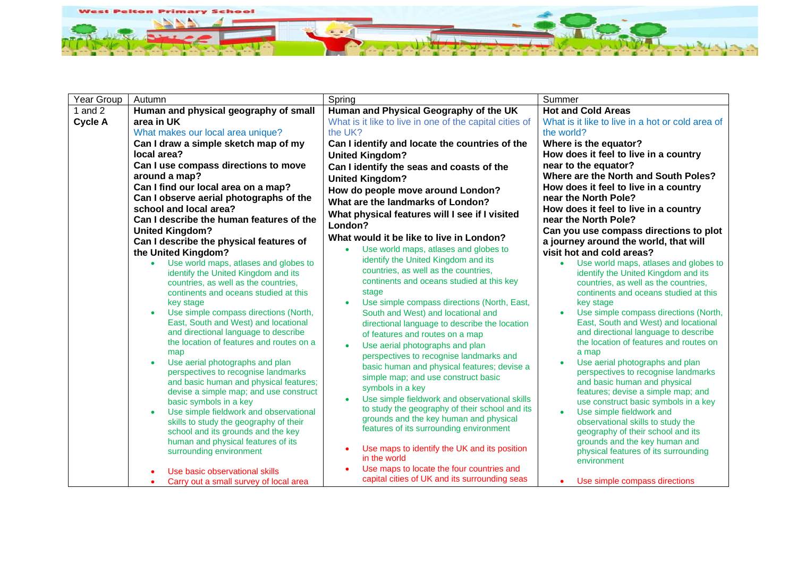

| <b>Year Group</b> | Autumn                                                                       | Spring                                                     | Summer                                                                                    |
|-------------------|------------------------------------------------------------------------------|------------------------------------------------------------|-------------------------------------------------------------------------------------------|
| 1 and $2$         | Human and physical geography of small                                        | Human and Physical Geography of the UK                     | <b>Hot and Cold Areas</b>                                                                 |
| <b>Cycle A</b>    | area in UK                                                                   | What is it like to live in one of the capital cities of    | What is it like to live in a hot or cold area of                                          |
|                   | What makes our local area unique?                                            | the UK?                                                    | the world?                                                                                |
|                   | Can I draw a simple sketch map of my                                         | Can I identify and locate the countries of the             | Where is the equator?                                                                     |
|                   | local area?                                                                  | <b>United Kingdom?</b>                                     | How does it feel to live in a country                                                     |
|                   | Can I use compass directions to move                                         | Can I identify the seas and coasts of the                  | near to the equator?                                                                      |
|                   | around a map?                                                                | <b>United Kingdom?</b>                                     | Where are the North and South Poles?                                                      |
|                   | Can I find our local area on a map?                                          | How do people move around London?                          | How does it feel to live in a country                                                     |
|                   | Can I observe aerial photographs of the                                      | What are the landmarks of London?                          | near the North Pole?                                                                      |
|                   | school and local area?                                                       | What physical features will I see if I visited             | How does it feel to live in a country                                                     |
|                   | Can I describe the human features of the                                     | London?                                                    | near the North Pole?                                                                      |
|                   | <b>United Kingdom?</b>                                                       | What would it be like to live in London?                   | Can you use compass directions to plot                                                    |
|                   | Can I describe the physical features of                                      | Use world maps, atlases and globes to                      | a journey around the world, that will                                                     |
|                   | the United Kingdom?                                                          | identify the United Kingdom and its                        | visit hot and cold areas?                                                                 |
|                   | Use world maps, atlases and globes to<br>identify the United Kingdom and its | countries, as well as the countries,                       | Use world maps, atlases and globes to<br>$\bullet$<br>identify the United Kingdom and its |
|                   | countries, as well as the countries,                                         | continents and oceans studied at this key                  | countries, as well as the countries,                                                      |
|                   | continents and oceans studied at this                                        | stage                                                      | continents and oceans studied at this                                                     |
|                   | key stage                                                                    | Use simple compass directions (North, East,<br>$\bullet$   | key stage                                                                                 |
|                   | Use simple compass directions (North,<br>$\bullet$                           | South and West) and locational and                         | Use simple compass directions (North,                                                     |
|                   | East, South and West) and locational                                         | directional language to describe the location              | East, South and West) and locational                                                      |
|                   | and directional language to describe                                         | of features and routes on a map                            | and directional language to describe                                                      |
|                   | the location of features and routes on a                                     | Use aerial photographs and plan<br>$\bullet$               | the location of features and routes on                                                    |
|                   | map<br>$\bullet$                                                             | perspectives to recognise landmarks and                    | a map                                                                                     |
|                   | Use aerial photographs and plan<br>perspectives to recognise landmarks       | basic human and physical features; devise a                | Use aerial photographs and plan<br>perspectives to recognise landmarks                    |
|                   | and basic human and physical features;                                       | simple map; and use construct basic                        | and basic human and physical                                                              |
|                   | devise a simple map; and use construct                                       | symbols in a key                                           | features; devise a simple map; and                                                        |
|                   | basic symbols in a key                                                       | Use simple fieldwork and observational skills<br>$\bullet$ | use construct basic symbols in a key                                                      |
|                   | Use simple fieldwork and observational<br>$\bullet$                          | to study the geography of their school and its             | Use simple fieldwork and                                                                  |
|                   | skills to study the geography of their                                       | grounds and the key human and physical                     | observational skills to study the                                                         |
|                   | school and its grounds and the key                                           | features of its surrounding environment                    | geography of their school and its                                                         |
|                   | human and physical features of its                                           | Use maps to identify the UK and its position               | grounds and the key human and                                                             |
|                   | surrounding environment                                                      | in the world                                               | physical features of its surrounding<br>environment                                       |
|                   | $\bullet$                                                                    | Use maps to locate the four countries and                  |                                                                                           |
|                   | Carry out a small survey of local area                                       | capital cities of UK and its surrounding seas              | Use simple compass directions                                                             |
|                   | Use basic observational skills                                               |                                                            |                                                                                           |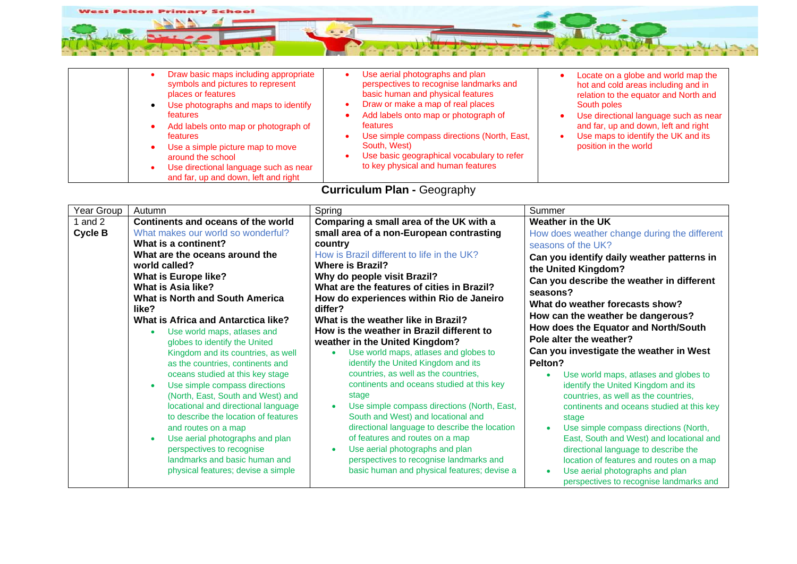

| Draw basic maps including appropriate<br>Use aerial photographs and plan<br>Locate on a globe and world map the<br>perspectives to recognise landmarks and<br>symbols and pictures to represent<br>hot and cold areas including and in<br>basic human and physical features<br>places or features<br>relation to the equator and North and<br>Draw or make a map of real places<br>Use photographs and maps to identify<br>South poles<br><b>features</b><br>Add labels onto map or photograph of<br>Use directional language such as near<br>and far, up and down, left and right<br>features<br>Add labels onto map or photograph of<br>Use simple compass directions (North, East,<br>Use maps to identify the UK and its<br><b>features</b><br>position in the world<br>South, West)<br>Use a simple picture map to move<br>Use basic geographical vocabulary to refer<br>around the school<br>to key physical and human features |
|---------------------------------------------------------------------------------------------------------------------------------------------------------------------------------------------------------------------------------------------------------------------------------------------------------------------------------------------------------------------------------------------------------------------------------------------------------------------------------------------------------------------------------------------------------------------------------------------------------------------------------------------------------------------------------------------------------------------------------------------------------------------------------------------------------------------------------------------------------------------------------------------------------------------------------------|
|---------------------------------------------------------------------------------------------------------------------------------------------------------------------------------------------------------------------------------------------------------------------------------------------------------------------------------------------------------------------------------------------------------------------------------------------------------------------------------------------------------------------------------------------------------------------------------------------------------------------------------------------------------------------------------------------------------------------------------------------------------------------------------------------------------------------------------------------------------------------------------------------------------------------------------------|

## **Curriculum Plan -** Geography

| Year Group                | Autumn                                                                                                                                                                                                                                                                                                                                                                                                                                                                                                                                                                                                                                                                                                                                                                                                                                            | Spring                                                                                                                                                                                                                                                                                                                                                                                                                                                                                                                                                                                                                                                                                                                                                                                                                                                                                                                | Summer                                                                                                                                                                                                                                                                                                                                                                                                                                                                                                                                                                                                                                                                                                                                                                                                                        |
|---------------------------|---------------------------------------------------------------------------------------------------------------------------------------------------------------------------------------------------------------------------------------------------------------------------------------------------------------------------------------------------------------------------------------------------------------------------------------------------------------------------------------------------------------------------------------------------------------------------------------------------------------------------------------------------------------------------------------------------------------------------------------------------------------------------------------------------------------------------------------------------|-----------------------------------------------------------------------------------------------------------------------------------------------------------------------------------------------------------------------------------------------------------------------------------------------------------------------------------------------------------------------------------------------------------------------------------------------------------------------------------------------------------------------------------------------------------------------------------------------------------------------------------------------------------------------------------------------------------------------------------------------------------------------------------------------------------------------------------------------------------------------------------------------------------------------|-------------------------------------------------------------------------------------------------------------------------------------------------------------------------------------------------------------------------------------------------------------------------------------------------------------------------------------------------------------------------------------------------------------------------------------------------------------------------------------------------------------------------------------------------------------------------------------------------------------------------------------------------------------------------------------------------------------------------------------------------------------------------------------------------------------------------------|
| 1 and 2<br><b>Cycle B</b> | Continents and oceans of the world<br>What makes our world so wonderful?<br>What is a continent?<br>What are the oceans around the<br>world called?<br><b>What is Europe like?</b><br><b>What is Asia like?</b><br><b>What is North and South America</b><br>like?<br>What is Africa and Antarctica like?<br>Use world maps, atlases and<br>$\bullet$<br>globes to identify the United<br>Kingdom and its countries, as well<br>as the countries, continents and<br>oceans studied at this key stage<br>Use simple compass directions<br>$\bullet$<br>(North, East, South and West) and<br>locational and directional language<br>to describe the location of features<br>and routes on a map<br>Use aerial photographs and plan<br>$\bullet$<br>perspectives to recognise<br>landmarks and basic human and<br>physical features; devise a simple | Comparing a small area of the UK with a<br>small area of a non-European contrasting<br>country<br>How is Brazil different to life in the UK?<br><b>Where is Brazil?</b><br>Why do people visit Brazil?<br>What are the features of cities in Brazil?<br>How do experiences within Rio de Janeiro<br>differ?<br>What is the weather like in Brazil?<br>How is the weather in Brazil different to<br>weather in the United Kingdom?<br>Use world maps, atlases and globes to<br>identify the United Kingdom and its<br>countries, as well as the countries,<br>continents and oceans studied at this key<br>stage<br>Use simple compass directions (North, East,<br>South and West) and locational and<br>directional language to describe the location<br>of features and routes on a map<br>Use aerial photographs and plan<br>perspectives to recognise landmarks and<br>basic human and physical features; devise a | Weather in the UK<br>How does weather change during the different<br>seasons of the UK?<br>Can you identify daily weather patterns in<br>the United Kingdom?<br>Can you describe the weather in different<br>seasons?<br>What do weather forecasts show?<br>How can the weather be dangerous?<br>How does the Equator and North/South<br>Pole alter the weather?<br>Can you investigate the weather in West<br>Pelton?<br>Use world maps, atlases and globes to<br>identify the United Kingdom and its<br>countries, as well as the countries,<br>continents and oceans studied at this key<br>stage<br>Use simple compass directions (North,<br>East, South and West) and locational and<br>directional language to describe the<br>location of features and routes on a map<br>Use aerial photographs and plan<br>$\bullet$ |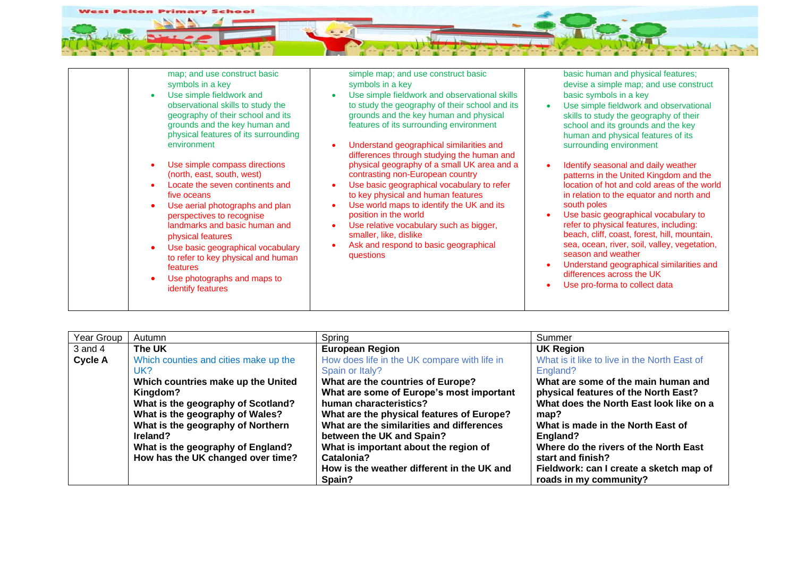

| Year Group     | Autumn                                | Spring                                       | Summer                                       |
|----------------|---------------------------------------|----------------------------------------------|----------------------------------------------|
| $3$ and $4$    | The UK                                | <b>European Region</b>                       | <b>UK Region</b>                             |
| <b>Cycle A</b> | Which counties and cities make up the | How does life in the UK compare with life in | What is it like to live in the North East of |
|                | UK?                                   | Spain or Italy?                              | England?                                     |
|                | Which countries make up the United    | What are the countries of Europe?            | What are some of the main human and          |
|                | Kingdom?                              | What are some of Europe's most important     | physical features of the North East?         |
|                | What is the geography of Scotland?    | human characteristics?                       | What does the North East look like on a      |
|                | What is the geography of Wales?       | What are the physical features of Europe?    | map?                                         |
|                | What is the geography of Northern     | What are the similarities and differences    | What is made in the North East of            |
|                | Ireland?                              | between the UK and Spain?                    | England?                                     |
|                | What is the geography of England?     | What is important about the region of        | Where do the rivers of the North East        |
|                | How has the UK changed over time?     | Catalonia?                                   | start and finish?                            |
|                |                                       | How is the weather different in the UK and   | Fieldwork: can I create a sketch map of      |
|                |                                       | Spain?                                       | roads in my community?                       |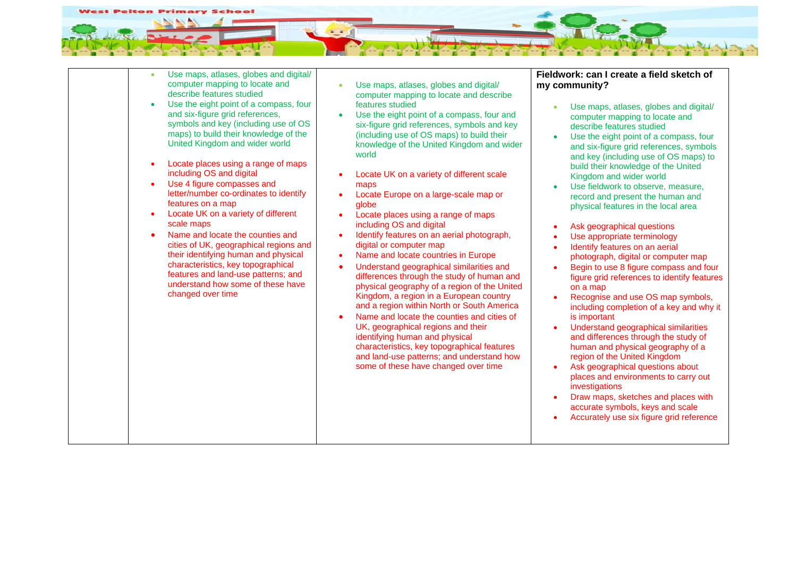

| $\bullet$<br>$\bullet$<br>$\bullet$<br>$\bullet$<br>$\bullet$ | Use maps, atlases, globes and digital/<br>computer mapping to locate and<br>describe features studied<br>Use the eight point of a compass, four<br>and six-figure grid references,<br>symbols and key (including use of OS<br>maps) to build their knowledge of the<br>United Kingdom and wider world<br>Locate places using a range of maps<br>including OS and digital<br>Use 4 figure compasses and<br>letter/number co-ordinates to identify<br>features on a map<br>Locate UK on a variety of different<br>scale maps<br>Name and locate the counties and<br>cities of UK, geographical regions and<br>their identifying human and physical<br>characteristics, key topographical<br>features and land-use patterns; and<br>understand how some of these have<br>changed over time | Use maps, atlases, globes and digital/<br>$\bullet$<br>computer mapping to locate and describe<br>features studied<br>Use the eight point of a compass, four and<br>six-figure grid references, symbols and key<br>(including use of OS maps) to build their<br>knowledge of the United Kingdom and wider<br>world<br>Locate UK on a variety of different scale<br>maps<br>Locate Europe on a large-scale map or<br>globe<br>Locate places using a range of maps<br>including OS and digital<br>Identify features on an aerial photograph,<br>$\bullet$<br>digital or computer map<br>Name and locate countries in Europe<br>$\bullet$<br>Understand geographical similarities and<br>differences through the study of human and<br>physical geography of a region of the United<br>Kingdom, a region in a European country<br>and a region within North or South America<br>Name and locate the counties and cities of<br>UK, geographical regions and their<br>identifying human and physical<br>characteristics, key topographical features<br>and land-use patterns; and understand how<br>some of these have changed over time | Fieldwork: can I create a field sketch of<br>my community?<br>Use maps, atlases, globes and digital/<br>$\bullet$<br>computer mapping to locate and<br>describe features studied<br>Use the eight point of a compass, four<br>$\bullet$<br>and six-figure grid references, symbols<br>and key (including use of OS maps) to<br>build their knowledge of the United<br>Kingdom and wider world<br>Use fieldwork to observe, measure,<br>record and present the human and<br>physical features in the local area<br>Ask geographical questions<br>Use appropriate terminology<br>Identify features on an aerial<br>photograph, digital or computer map<br>Begin to use 8 figure compass and four<br>figure grid references to identify features<br>on a map<br>Recognise and use OS map symbols,<br>including completion of a key and why it<br>is important<br>Understand geographical similarities<br>and differences through the study of<br>human and physical geography of a<br>region of the United Kingdom<br>Ask geographical questions about<br>places and environments to carry out<br>investigations<br>Draw maps, sketches and places with<br>accurate symbols, keys and scale<br>Accurately use six figure grid reference |
|---------------------------------------------------------------|-----------------------------------------------------------------------------------------------------------------------------------------------------------------------------------------------------------------------------------------------------------------------------------------------------------------------------------------------------------------------------------------------------------------------------------------------------------------------------------------------------------------------------------------------------------------------------------------------------------------------------------------------------------------------------------------------------------------------------------------------------------------------------------------|-------------------------------------------------------------------------------------------------------------------------------------------------------------------------------------------------------------------------------------------------------------------------------------------------------------------------------------------------------------------------------------------------------------------------------------------------------------------------------------------------------------------------------------------------------------------------------------------------------------------------------------------------------------------------------------------------------------------------------------------------------------------------------------------------------------------------------------------------------------------------------------------------------------------------------------------------------------------------------------------------------------------------------------------------------------------------------------------------------------------------------------|--------------------------------------------------------------------------------------------------------------------------------------------------------------------------------------------------------------------------------------------------------------------------------------------------------------------------------------------------------------------------------------------------------------------------------------------------------------------------------------------------------------------------------------------------------------------------------------------------------------------------------------------------------------------------------------------------------------------------------------------------------------------------------------------------------------------------------------------------------------------------------------------------------------------------------------------------------------------------------------------------------------------------------------------------------------------------------------------------------------------------------------------------------------------------------------------------------------------------------------|
|                                                               |                                                                                                                                                                                                                                                                                                                                                                                                                                                                                                                                                                                                                                                                                                                                                                                         |                                                                                                                                                                                                                                                                                                                                                                                                                                                                                                                                                                                                                                                                                                                                                                                                                                                                                                                                                                                                                                                                                                                                     |                                                                                                                                                                                                                                                                                                                                                                                                                                                                                                                                                                                                                                                                                                                                                                                                                                                                                                                                                                                                                                                                                                                                                                                                                                      |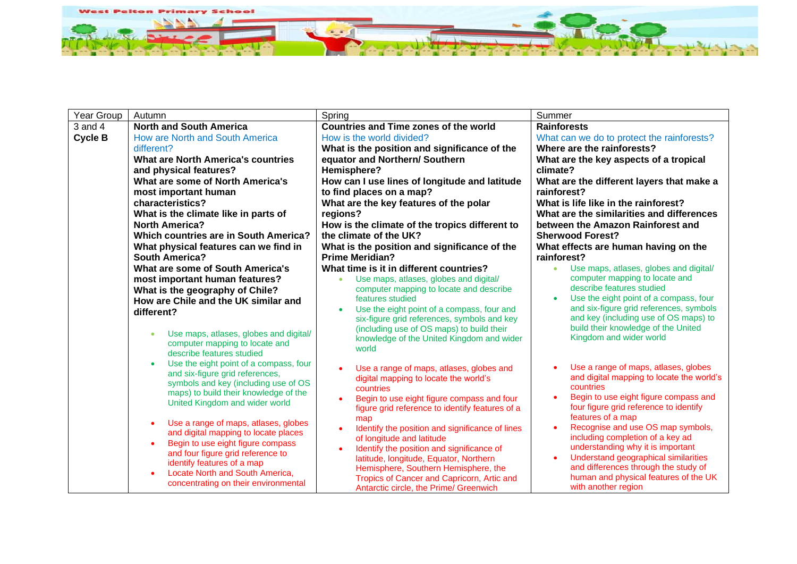

| Year Group     | Autumn                                                         | Spring                                                                                           | Summer                                                                            |
|----------------|----------------------------------------------------------------|--------------------------------------------------------------------------------------------------|-----------------------------------------------------------------------------------|
| $3$ and $4$    | <b>North and South America</b>                                 | <b>Countries and Time zones of the world</b>                                                     | <b>Rainforests</b>                                                                |
| <b>Cycle B</b> | How are North and South America                                | How is the world divided?                                                                        | What can we do to protect the rainforests?                                        |
|                | different?                                                     | What is the position and significance of the                                                     | Where are the rainforests?                                                        |
|                | What are North America's countries                             | equator and Northern/ Southern                                                                   | What are the key aspects of a tropical                                            |
|                | and physical features?                                         | Hemisphere?                                                                                      | climate?                                                                          |
|                | What are some of North America's                               | How can I use lines of longitude and latitude                                                    | What are the different layers that make a                                         |
|                | most important human                                           | to find places on a map?                                                                         | rainforest?                                                                       |
|                | characteristics?                                               | What are the key features of the polar                                                           | What is life like in the rainforest?                                              |
|                | What is the climate like in parts of                           | regions?                                                                                         | What are the similarities and differences                                         |
|                | <b>North America?</b><br>Which countries are in South America? | How is the climate of the tropics different to<br>the climate of the UK?                         | between the Amazon Rainforest and<br><b>Sherwood Forest?</b>                      |
|                | What physical features can we find in                          | What is the position and significance of the                                                     | What effects are human having on the                                              |
|                | <b>South America?</b>                                          | <b>Prime Meridian?</b>                                                                           | rainforest?                                                                       |
|                | What are some of South America's                               | What time is it in different countries?                                                          | Use maps, atlases, globes and digital/<br>$\bullet$                               |
|                | most important human features?                                 | Use maps, atlases, globes and digital/                                                           | computer mapping to locate and                                                    |
|                | What is the geography of Chile?                                | computer mapping to locate and describe                                                          | describe features studied                                                         |
|                | How are Chile and the UK similar and                           | features studied                                                                                 | Use the eight point of a compass, four                                            |
|                | different?                                                     | Use the eight point of a compass, four and<br>six-figure grid references, symbols and key        | and six-figure grid references, symbols<br>and key (including use of OS maps) to  |
|                |                                                                | (including use of OS maps) to build their                                                        | build their knowledge of the United                                               |
|                | Use maps, atlases, globes and digital/<br>$\bullet$            | knowledge of the United Kingdom and wider                                                        | Kingdom and wider world                                                           |
|                | computer mapping to locate and<br>describe features studied    | world                                                                                            |                                                                                   |
|                | Use the eight point of a compass, four<br>$\bullet$            |                                                                                                  |                                                                                   |
|                | and six-figure grid references,                                | Use a range of maps, atlases, globes and                                                         | Use a range of maps, atlases, globes<br>and digital mapping to locate the world's |
|                | symbols and key (including use of OS                           | digital mapping to locate the world's<br>countries                                               | countries                                                                         |
|                | maps) to build their knowledge of the                          | Begin to use eight figure compass and four                                                       | Begin to use eight figure compass and                                             |
|                | United Kingdom and wider world                                 | figure grid reference to identify features of a                                                  | four figure grid reference to identify                                            |
|                | Use a range of maps, atlases, globes                           | map                                                                                              | features of a map                                                                 |
|                | and digital mapping to locate places                           | Identify the position and significance of lines                                                  | Recognise and use OS map symbols,                                                 |
|                | Begin to use eight figure compass                              | of longitude and latitude                                                                        | including completion of a key ad<br>understanding why it is important             |
|                | and four figure grid reference to                              | Identify the position and significance of<br>$\bullet$<br>latitude, longitude, Equator, Northern | Understand geographical similarities                                              |
|                | identify features of a map                                     | Hemisphere, Southern Hemisphere, the                                                             | and differences through the study of                                              |
|                | Locate North and South America,                                | Tropics of Cancer and Capricorn, Artic and                                                       | human and physical features of the UK                                             |
|                | concentrating on their environmental                           | Antarctic circle, the Prime/ Greenwich                                                           | with another region                                                               |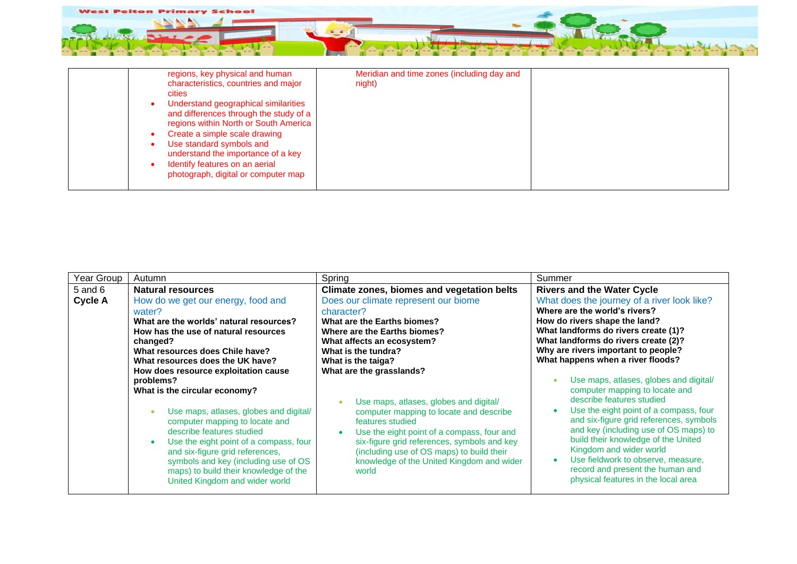

| regions, key physical and human<br>characteristics, countries and major<br>cities<br>Understand geographical similarities<br>and differences through the study of a<br>regions within North or South America<br>Create a simple scale drawing<br>Use standard symbols and<br>understand the importance of a key<br>Identify features on an aerial<br>photograph, digital or computer map | Meridian and time zones (including day and<br>night) |  |
|------------------------------------------------------------------------------------------------------------------------------------------------------------------------------------------------------------------------------------------------------------------------------------------------------------------------------------------------------------------------------------------|------------------------------------------------------|--|
|------------------------------------------------------------------------------------------------------------------------------------------------------------------------------------------------------------------------------------------------------------------------------------------------------------------------------------------------------------------------------------------|------------------------------------------------------|--|

| Year Group                    | Autumn                                                                                                                                                                                                                                                                                                                                                                                                                                                                                                                                                                                                                                 | Spring                                                                                                                                                                                                                                                                                                                                                                                                                                                                                                                                                                          | Summer                                                                                                                                                                                                                                                                                                                                                                                                                                                                                                                                                                                                                                                                                                                                   |
|-------------------------------|----------------------------------------------------------------------------------------------------------------------------------------------------------------------------------------------------------------------------------------------------------------------------------------------------------------------------------------------------------------------------------------------------------------------------------------------------------------------------------------------------------------------------------------------------------------------------------------------------------------------------------------|---------------------------------------------------------------------------------------------------------------------------------------------------------------------------------------------------------------------------------------------------------------------------------------------------------------------------------------------------------------------------------------------------------------------------------------------------------------------------------------------------------------------------------------------------------------------------------|------------------------------------------------------------------------------------------------------------------------------------------------------------------------------------------------------------------------------------------------------------------------------------------------------------------------------------------------------------------------------------------------------------------------------------------------------------------------------------------------------------------------------------------------------------------------------------------------------------------------------------------------------------------------------------------------------------------------------------------|
| $5$ and $6$<br><b>Cycle A</b> | Natural resources<br>How do we get our energy, food and<br>water?<br>What are the worlds' natural resources?<br>How has the use of natural resources<br>changed?<br>What resources does Chile have?<br>What resources does the UK have?<br>How does resource exploitation cause<br>problems?<br>What is the circular economy?<br>Use maps, atlases, globes and digital/<br>computer mapping to locate and<br>describe features studied<br>Use the eight point of a compass, four<br>and six-figure grid references,<br>symbols and key (including use of OS<br>maps) to build their knowledge of the<br>United Kingdom and wider world | Climate zones, biomes and vegetation belts<br>Does our climate represent our biome<br>character?<br>What are the Earths biomes?<br>Where are the Earths biomes?<br>What affects an ecosystem?<br>What is the tundra?<br>What is the taiga?<br>What are the grasslands?<br>Use maps, atlases, globes and digital/<br>computer mapping to locate and describe<br>features studied<br>Use the eight point of a compass, four and<br>six-figure grid references, symbols and key<br>(including use of OS maps) to build their<br>knowledge of the United Kingdom and wider<br>world | <b>Rivers and the Water Cycle</b><br>What does the journey of a river look like?<br>Where are the world's rivers?<br>How do rivers shape the land?<br>What landforms do rivers create (1)?<br>What landforms do rivers create (2)?<br>Why are rivers important to people?<br>What happens when a river floods?<br>Use maps, atlases, globes and digital/<br>computer mapping to locate and<br>describe features studied<br>Use the eight point of a compass, four<br>and six-figure grid references, symbols<br>and key (including use of OS maps) to<br>build their knowledge of the United<br>Kingdom and wider world<br>Use fieldwork to observe, measure,<br>record and present the human and<br>physical features in the local area |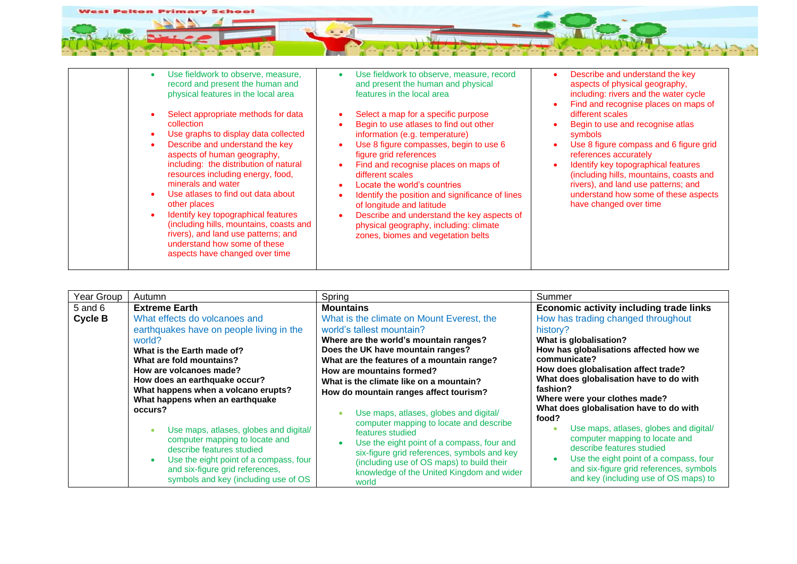

| Use fieldwork to observe, measure,<br>$\bullet$<br>record and present the human and<br>physical features in the local area<br>Select appropriate methods for data<br>collection<br>Use graphs to display data collected<br>$\bullet$<br>Describe and understand the key<br>aspects of human geography,<br>including: the distribution of natural<br>resources including energy, food,<br>minerals and water<br>Use atlases to find out data about<br>other places<br>Identify key topographical features<br>$\bullet$<br>(including hills, mountains, coasts and<br>rivers), and land use patterns; and<br>understand how some of these<br>aspects have changed over time | Use fieldwork to observe, measure, record<br>and present the human and physical<br>features in the local area<br>Select a map for a specific purpose<br>Begin to use atlases to find out other<br>information (e.g. temperature)<br>Use 8 figure compasses, begin to use 6<br>figure grid references<br>Find and recognise places on maps of<br>¢<br>different scales<br>Locate the world's countries<br>Identify the position and significance of lines<br>of longitude and latitude<br>Describe and understand the key aspects of<br>physical geography, including: climate<br>zones, biomes and vegetation belts | Describe and understand the key<br>aspects of physical geography,<br>including: rivers and the water cycle<br>Find and recognise places on maps of<br>different scales<br>Begin to use and recognise atlas<br>symbols<br>Use 8 figure compass and 6 figure grid<br>references accurately<br>Identify key topographical features<br>(including hills, mountains, coasts and<br>rivers), and land use patterns; and<br>understand how some of these aspects<br>have changed over time |
|---------------------------------------------------------------------------------------------------------------------------------------------------------------------------------------------------------------------------------------------------------------------------------------------------------------------------------------------------------------------------------------------------------------------------------------------------------------------------------------------------------------------------------------------------------------------------------------------------------------------------------------------------------------------------|---------------------------------------------------------------------------------------------------------------------------------------------------------------------------------------------------------------------------------------------------------------------------------------------------------------------------------------------------------------------------------------------------------------------------------------------------------------------------------------------------------------------------------------------------------------------------------------------------------------------|-------------------------------------------------------------------------------------------------------------------------------------------------------------------------------------------------------------------------------------------------------------------------------------------------------------------------------------------------------------------------------------------------------------------------------------------------------------------------------------|
|---------------------------------------------------------------------------------------------------------------------------------------------------------------------------------------------------------------------------------------------------------------------------------------------------------------------------------------------------------------------------------------------------------------------------------------------------------------------------------------------------------------------------------------------------------------------------------------------------------------------------------------------------------------------------|---------------------------------------------------------------------------------------------------------------------------------------------------------------------------------------------------------------------------------------------------------------------------------------------------------------------------------------------------------------------------------------------------------------------------------------------------------------------------------------------------------------------------------------------------------------------------------------------------------------------|-------------------------------------------------------------------------------------------------------------------------------------------------------------------------------------------------------------------------------------------------------------------------------------------------------------------------------------------------------------------------------------------------------------------------------------------------------------------------------------|

| Year Group                    | Autumn                                                                                                                                                                                                                                                                                                                                                                                                                                                                                                                                                            | Spring                                                                                                                                                                                                                                                                                                                                                                                                                                                                                                                                                                                                                                             | Summer                                                                                                                                                                                                                                                                                                                                                                                                                                                                                                                                                                                                   |
|-------------------------------|-------------------------------------------------------------------------------------------------------------------------------------------------------------------------------------------------------------------------------------------------------------------------------------------------------------------------------------------------------------------------------------------------------------------------------------------------------------------------------------------------------------------------------------------------------------------|----------------------------------------------------------------------------------------------------------------------------------------------------------------------------------------------------------------------------------------------------------------------------------------------------------------------------------------------------------------------------------------------------------------------------------------------------------------------------------------------------------------------------------------------------------------------------------------------------------------------------------------------------|----------------------------------------------------------------------------------------------------------------------------------------------------------------------------------------------------------------------------------------------------------------------------------------------------------------------------------------------------------------------------------------------------------------------------------------------------------------------------------------------------------------------------------------------------------------------------------------------------------|
| $5$ and $6$<br><b>Cycle B</b> | <b>Extreme Earth</b><br>What effects do volcanoes and<br>earthquakes have on people living in the<br>world?<br>What is the Earth made of?<br>What are fold mountains?<br>How are volcanoes made?<br>How does an earthquake occur?<br>What happens when a volcano erupts?<br>What happens when an earthquake<br>occurs?<br>Use maps, atlases, globes and digital/<br>computer mapping to locate and<br>describe features studied<br>Use the eight point of a compass, four<br>$\bullet$<br>and six-figure grid references,<br>symbols and key (including use of OS | <b>Mountains</b><br>What is the climate on Mount Everest, the<br>world's tallest mountain?<br>Where are the world's mountain ranges?<br>Does the UK have mountain ranges?<br>What are the features of a mountain range?<br>How are mountains formed?<br>What is the climate like on a mountain?<br>How do mountain ranges affect tourism?<br>Use maps, atlases, globes and digital/<br>computer mapping to locate and describe<br>features studied<br>Use the eight point of a compass, four and<br>six-figure grid references, symbols and key<br>(including use of OS maps) to build their<br>knowledge of the United Kingdom and wider<br>world | Economic activity including trade links<br>How has trading changed throughout<br>history?<br>What is globalisation?<br>How has globalisations affected how we<br>communicate?<br>How does globalisation affect trade?<br>What does globalisation have to do with<br>fashion?<br>Where were your clothes made?<br>What does globalisation have to do with<br>food?<br>Use maps, atlases, globes and digital/<br>computer mapping to locate and<br>describe features studied<br>Use the eight point of a compass, four<br>and six-figure grid references, symbols<br>and key (including use of OS maps) to |